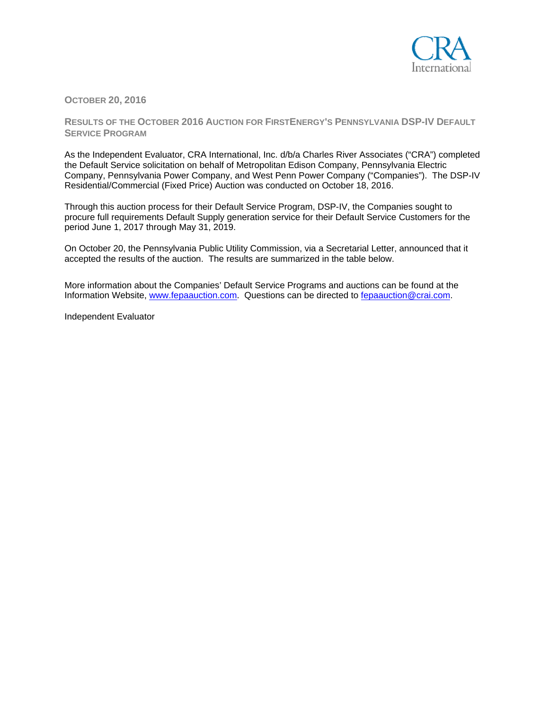

**OCTOBER 20, 2016** 

**RESULTS OF THE OCTOBER 2016 AUCTION FOR FIRSTENERGY'S PENNSYLVANIA DSP-IV DEFAULT SERVICE PROGRAM**

As the Independent Evaluator, CRA International, Inc. d/b/a Charles River Associates ("CRA") completed the Default Service solicitation on behalf of Metropolitan Edison Company, Pennsylvania Electric Company, Pennsylvania Power Company, and West Penn Power Company ("Companies"). The DSP-IV Residential/Commercial (Fixed Price) Auction was conducted on October 18, 2016.

Through this auction process for their Default Service Program, DSP-IV, the Companies sought to procure full requirements Default Supply generation service for their Default Service Customers for the period June 1, 2017 through May 31, 2019.

On October 20, the Pennsylvania Public Utility Commission, via a Secretarial Letter, announced that it accepted the results of the auction. The results are summarized in the table below.

More information about the Companies' Default Service Programs and auctions can be found at the Information Website, www.fepaauction.com. Questions can be directed to fepaauction@crai.com.

Independent Evaluator